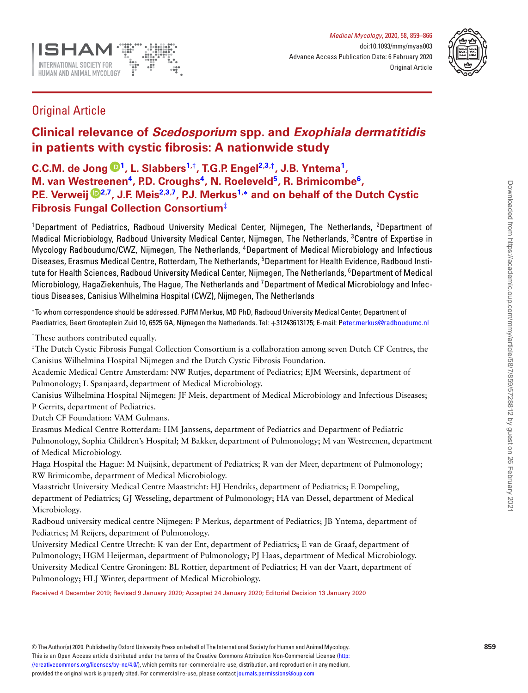

<span id="page-0-6"></span><span id="page-0-3"></span><span id="page-0-2"></span>

# Original Article

# **Clinical relevance of** *Scedosporium* **spp. and** *Exophiala dermatitidis* **in patients with cystic fibrosis: A nationwide study**

**C.C.M. de Jong [1,](#page-0-0) L. Slabber[s1,](#page-0-0)***[†](#page-0-1)***, T.G.P. Enge[l2](#page-0-2)[,3,](#page-0-3)***[†](#page-0-1)***, J.B. Yntema[1,](#page-0-0) M. van Westreenen[4,](#page-0-4) P.D. Crough[s4,](#page-0-4) N. Roelevel[d5,](#page-0-5) R. Brimicomb[e6,](#page-0-6) P.E. Verweij [2](#page-0-2)[,7,](#page-0-7) J.F. Mei[s2](#page-0-2)[,3](#page-0-3)[,7,](#page-0-7) P.J. Merku[s1,](#page-0-0)[∗](#page-0-8) and on behalf of the Dutch Cystic Fibrosis Fungal Collection Consortium***[‡](#page-0-9)*

<span id="page-0-5"></span><span id="page-0-4"></span><span id="page-0-0"></span><sup>1</sup>Department of Pediatrics, Radboud University Medical Center, Nijmegen, The Netherlands, <sup>2</sup>Department of Medical Micriobiology, Radboud University Medical Center, Nijmegen, The Netherlands, <sup>3</sup>Centre of Expertise in Mycology Radboudumc/CWZ, Nijmegen, The Netherlands, <sup>4</sup> Department of Medical Microbiology and Infectious Diseases, Erasmus Medical Centre, Rotterdam, The Netherlands, <sup>5</sup>Department for Health Evidence, Radboud Institute for Health Sciences, Radboud University Medical Center, Nijmegen, The Netherlands, <sup>6</sup>Department of Medical Microbiology, HagaZiekenhuis, The Hague, The Netherlands and <sup>7</sup>Department of Medical Microbiology and Infectious Diseases, Canisius Wilhelmina Hospital (CWZ), Nijmegen, The Netherlands

<span id="page-0-8"></span><span id="page-0-7"></span><sup>∗</sup>To whom correspondence should be addressed. PJFM Merkus, MD PhD, Radboud University Medical Center, Department of Paediatrics, Geert Grooteplein Zuid 10, 6525 GA, Nijmegen the Netherlands. Tel: +31243613175; E-mail: [Peter.merkus@radboudumc.nl](mailto:eter.merkus@radboudumc.nl)

<span id="page-0-1"></span>†These authors contributed equally.

<span id="page-0-9"></span>‡The Dutch Cystic Fibrosis Fungal Collection Consortium is a collaboration among seven Dutch CF Centres, the Canisius Wilhelmina Hospital Nijmegen and the Dutch Cystic Fibrosis Foundation.

Academic Medical Centre Amsterdam: NW Rutjes, department of Pediatrics; EJM Weersink, department of Pulmonology; L Spanjaard, department of Medical Microbiology.

Canisius Wilhelmina Hospital Nijmegen: JF Meis, department of Medical Microbiology and Infectious Diseases; P Gerrits, department of Pediatrics.

Dutch CF Foundation: VAM Gulmans.

Erasmus Medical Centre Rotterdam: HM Janssens, department of Pediatrics and Department of Pediatric Pulmonology, Sophia Children's Hospital; M Bakker, department of Pulmonology; M van Westreenen, department of Medical Microbiology.

Haga Hospital the Hague: M Nuijsink, department of Pediatrics; R van der Meer, department of Pulmonology; RW Brimicombe, department of Medical Microbiology.

Maastricht University Medical Centre Maastricht: HJ Hendriks, department of Pediatrics; E Dompeling, department of Pediatrics; GJ Wesseling, department of Pulmonology; HA van Dessel, department of Medical Microbiology.

Radboud university medical centre Nijmegen: P Merkus, department of Pediatrics; JB Yntema, department of Pediatrics; M Reijers, department of Pulmonology.

University Medical Centre Utrecht: K van der Ent, department of Pediatrics; E van de Graaf, department of Pulmonology; HGM Heijerman, department of Pulmonology; PJ Haas, department of Medical Microbiology. University Medical Centre Groningen: BL Rottier, department of Pediatrics; H van der Vaart, department of Pulmonology; HLJ Winter, department of Medical Microbiology.

Received 4 December 2019; Revised 9 January 2020; Accepted 24 January 2020; Editorial Decision 13 January 2020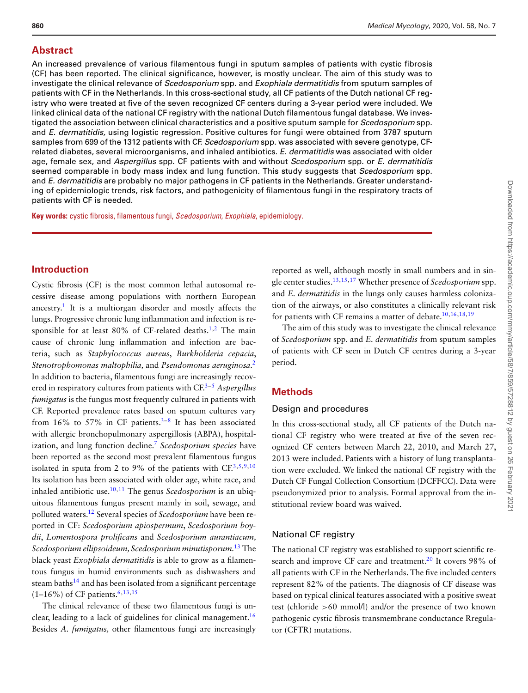# **Abstract**

An increased prevalence of various filamentous fungi in sputum samples of patients with cystic fibrosis (CF) has been reported. The clinical significance, however, is mostly unclear. The aim of this study was to investigate the clinical relevance of *Scedosporium* spp. and *Exophiala dermatitidis* from sputum samples of patients with CF in the Netherlands. In this cross-sectional study, all CF patients of the Dutch national CF registry who were treated at five of the seven recognized CF centers during a 3-year period were included. We linked clinical data of the national CF registry with the national Dutch filamentous fungal database. We investigated the association between clinical characteristics and a positive sputum sample for *Scedosporium* spp. and *E. dermatitidis,* using logistic regression. Positive cultures for fungi were obtained from 3787 sputum samples from 699 of the 1312 patients with CF. *Scedosporium* spp. was associated with severe genotype, CFrelated diabetes, several microorganisms, and inhaled antibiotics. *E. dermatitidis* was associated with older age, female sex, and *Aspergillus* spp. CF patients with and without *Scedosporium* spp. or *E. dermatitidis* seemed comparable in body mass index and lung function. This study suggests that *Scedosporium* spp. and *E. dermatitidis* are probably no major pathogens in CF patients in the Netherlands. Greater understanding of epidemiologic trends, risk factors, and pathogenicity of filamentous fungi in the respiratory tracts of patients with CF is needed.

**Key words:** cystic fibrosis, filamentous fungi, *Scedosporium*, *Exophiala*, epidemiology.

# **Introduction**

Cystic fibrosis (CF) is the most common lethal autosomal recessive disease among populations with northern European ancestry[.1](#page-6-0) It is a multiorgan disorder and mostly affects the lungs. Progressive chronic lung inflammation and infection is responsible for at least  $80\%$  of CF-related deaths.<sup>1[,2](#page-6-1)</sup> The main cause of chronic lung inflammation and infection are bacteria, such as *Staphylococcus aureus*, *Burkholderia cepacia*, *Stenotrophomonas maltophilia,* and *Pseudomonas aeruginosa.*[2](#page-6-1) In addition to bacteria, filamentous fungi are increasingly recovered in respiratory cultures from patients with CF[.3–](#page-7-0)[5](#page-7-1) *Aspergillus fumigatus* is the fungus most frequently cultured in patients with CF. Reported prevalence rates based on sputum cultures vary from 16% to 57% in CF patients.<sup>3[–8](#page-7-2)</sup> It has been associated with allergic bronchopulmonary aspergillosis (ABPA), hospitalization, and lung function decline[.7](#page-7-3) *Scedosporium species* have been reported as the second most prevalent filamentous fungus isolated in sputa from 2 to 9% of the patients with  $CF^{3,5,9,10}$  $CF^{3,5,9,10}$  $CF^{3,5,9,10}$  $CF^{3,5,9,10}$  $CF^{3,5,9,10}$ Its isolation has been associated with older age, white race, and inhaled antibiotic use[.10](#page-7-5)[,11](#page-7-6) The genus *Scedosporium* is an ubiquitous filamentous fungus present mainly in soil, sewage, and polluted waters[.12](#page-7-7) Several species of *Scedosporium* have been reported in CF: *Scedosporium apiospermum*, *Scedosporium boydii*, *Lomentospora prolificans* and *Scedosporium aurantiacum, Scedosporium ellipsoideum, Scedosporium minutisporum.*[13](#page-7-8) The black yeast *Exophiala dermatitidis* is able to grow as a filamentous fungus in humid environments such as dishwashers and steam baths<sup>14</sup> and has been isolated from a significant percentage  $(1-16\%)$  of CF patients.<sup>6,[13](#page-7-8)[,15](#page-7-11)</sup>

The clinical relevance of these two filamentous fungi is unclear, leading to a lack of guidelines for clinical management.<sup>16</sup> Besides *A. fumigatus,* other filamentous fungi are increasingly

reported as well, although mostly in small numbers and in single center studies[.13,](#page-7-8)[15](#page-7-11)[,17](#page-7-13) Whether presence of *Scedosporium* spp. and *E. dermatitidis* in the lungs only causes harmless colonization of the airways, or also constitutes a clinically relevant risk for patients with CF remains a matter of debate[.10,](#page-7-5)[16,](#page-7-12)[18,](#page-7-14)[19](#page-7-15)

The aim of this study was to investigate the clinical relevance of *Scedosporium* spp. and *E. dermatitidis* from sputum samples of patients with CF seen in Dutch CF centres during a 3-year period.

# **Methods**

#### Design and procedures

In this cross-sectional study, all CF patients of the Dutch national CF registry who were treated at five of the seven recognized CF centers between March 22, 2010, and March 27, 2013 were included. Patients with a history of lung transplantation were excluded. We linked the national CF registry with the Dutch CF Fungal Collection Consortium (DCFFCC). Data were pseudonymized prior to analysis. Formal approval from the institutional review board was waived.

# National CF registry

The national CF registry was established to support scientific research and improve CF care and treatment.<sup>20</sup> It covers 98% of all patients with CF in the Netherlands. The five included centers represent 82% of the patients. The diagnosis of CF disease was based on typical clinical features associated with a positive sweat test (chloride >60 mmol/l) and/or the presence of two known pathogenic cystic fibrosis transmembrane conductance Rregulator (CFTR) mutations.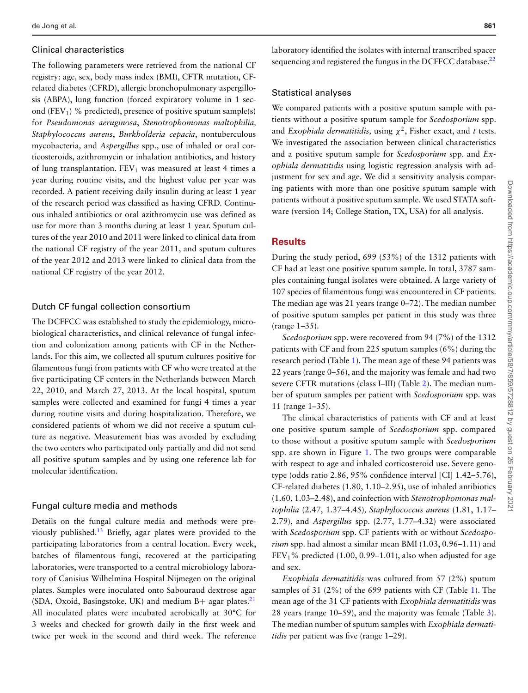## Clinical characteristics

The following parameters were retrieved from the national CF registry: age, sex, body mass index (BMI), CFTR mutation, CFrelated diabetes (CFRD), allergic bronchopulmonary aspergillosis (ABPA), lung function (forced expiratory volume in 1 second (FEV<sub>1</sub>) % predicted), presence of positive sputum sample(s) for *Pseudomonas aeruginosa*, *Stenotrophomonas maltophilia, Staphylococcus aureus*, *Burkholderia cepacia*, nontuberculous mycobacteria*,* and *Aspergillus* spp., use of inhaled or oral corticosteroids, azithromycin or inhalation antibiotics, and history of lung transplantation.  $FEV_1$  was measured at least 4 times a year during routine visits, and the highest value per year was recorded. A patient receiving daily insulin during at least 1 year of the research period was classified as having CFRD. Continuous inhaled antibiotics or oral azithromycin use was defined as use for more than 3 months during at least 1 year. Sputum cultures of the year 2010 and 2011 were linked to clinical data from the national CF registry of the year 2011, and sputum cultures of the year 2012 and 2013 were linked to clinical data from the national CF registry of the year 2012.

# Dutch CF fungal collection consortium

The DCFFCC was established to study the epidemiology, microbiological characteristics, and clinical relevance of fungal infection and colonization among patients with CF in the Netherlands. For this aim, we collected all sputum cultures positive for filamentous fungi from patients with CF who were treated at the five participating CF centers in the Netherlands between March 22, 2010, and March 27, 2013. At the local hospital, sputum samples were collected and examined for fungi 4 times a year during routine visits and during hospitalization. Therefore, we considered patients of whom we did not receive a sputum culture as negative. Measurement bias was avoided by excluding the two centers who participated only partially and did not send all positive sputum samples and by using one reference lab for molecular identification.

# Fungal culture media and methods

Details on the fungal culture media and methods were previously published[.13](#page-7-8) Briefly, agar plates were provided to the participating laboratories from a central location. Every week, batches of filamentous fungi, recovered at the participating laboratories, were transported to a central microbiology laboratory of Canisius Wilhelmina Hospital Nijmegen on the original plates. Samples were inoculated onto Sabouraud dextrose agar (SDA, Oxoid, Basingstoke, UK) and medium B+ agar plates. $21$ All inoculated plates were incubated aerobically at 30°C for 3 weeks and checked for growth daily in the first week and twice per week in the second and third week. The reference

laboratory identified the isolates with internal transcribed spacer sequencing and registered the fungus in the DCFFCC database.<sup>22</sup>

# Statistical analyses

We compared patients with a positive sputum sample with patients without a positive sputum sample for *Scedosporium* spp. and *Exophiala dermatitidis*, using  $\chi^2$ , Fisher exact, and *t* tests. We investigated the association between clinical characteristics and a positive sputum sample for *Scedosporium* spp. and *Exophiala dermatitidis* using logistic regression analysis with adjustment for sex and age. We did a sensitivity analysis comparing patients with more than one positive sputum sample with patients without a positive sputum sample. We used STATA software (version 14; College Station, TX, USA) for all analysis.

## **Results**

During the study period, 699 (53%) of the 1312 patients with CF had at least one positive sputum sample. In total, 3787 samples containing fungal isolates were obtained. A large variety of 107 species of filamentous fungi was encountered in CF patients. The median age was 21 years (range 0–72). The median number of positive sputum samples per patient in this study was three (range 1–35).

*Scedosporium* spp. were recovered from 94 (7%) of the 1312 patients with CF and from 225 sputum samples (6%) during the research period (Table [1\)](#page-3-0). The mean age of these 94 patients was 22 years (range 0–56), and the majority was female and had two severe CFTR mutations (class I–III) (Table [2\)](#page-3-1). The median number of sputum samples per patient with *Scedosporium* spp. was 11 (range 1–35).

The clinical characteristics of patients with CF and at least one positive sputum sample of *Scedosporium* spp. compared to those without a positive sputum sample with *Scedosporium* spp. are shown in Figure [1.](#page-4-0) The two groups were comparable with respect to age and inhaled corticosteroid use. Severe genotype (odds ratio 2.86, 95% confidence interval [CI] 1.42–5.76), CF-related diabetes (1.80, 1.10–2.95), use of inhaled antibiotics (1.60, 1.03–2.48), and coinfection with *Stenotrophomonas maltophilia* (2.47, 1.37–4.45)*, Staphylococcus aureus* (1.81, 1.17– 2.79), and *Aspergillus* spp. (2.77, 1.77–4.32) were associated with *Scedosporium* spp. CF patients with or without *Scedosporium* spp. had almost a similar mean BMI (1.03, 0.96–1.11) and FEV<sub>1</sub>% predicted  $(1.00, 0.99-1.01)$ , also when adjusted for age and sex.

*Exophiala dermatitidis* was cultured from 57 (2%) sputum samples of 31 (2%) of the 699 patients with CF (Table [1\)](#page-3-0). The mean age of the 31 CF patients with *Exophiala dermatitidis* was 28 years (range 10–59), and the majority was female (Table [3\)](#page-4-1). The median number of sputum samples with *Exophiala dermatitidis* per patient was five (range 1–29).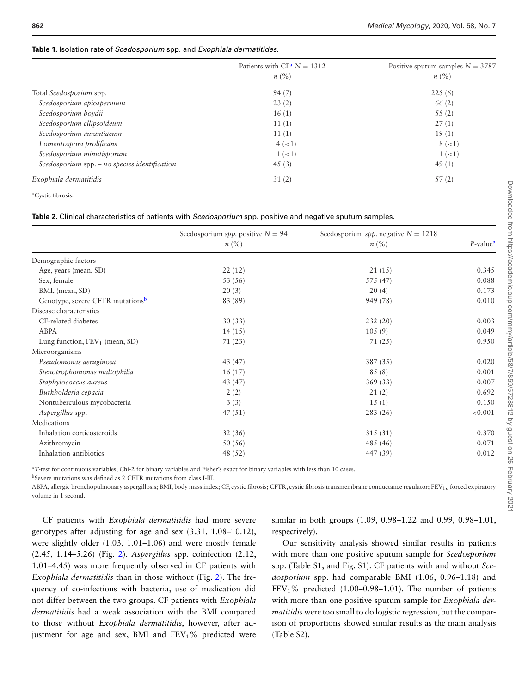#### <span id="page-3-0"></span>**Table 1.** Isolation rate of *Scedosporium* spp. and *Exophiala dermatitides.*

|                                                 | Patients with $CF^a N = 1312$<br>$n\left(\frac{0}{0}\right)$ | Positive sputum samples $N = 3787$<br>$n\ (\%)$ |
|-------------------------------------------------|--------------------------------------------------------------|-------------------------------------------------|
| Total Scedosporium spp.                         | 94(7)                                                        | 225(6)                                          |
| Scedosporium apiospermum                        | 23(2)                                                        | 66(2)                                           |
| Scedosporium boydii                             | 16(1)                                                        | 55(2)                                           |
| Scedosporium ellipsoideum                       | 11(1)                                                        | 27(1)                                           |
| Scedosporium aurantiacum                        | 11(1)                                                        | 19(1)                                           |
| Lomentospora prolificans                        | $4 (-1)$                                                     | $8 (-1)$                                        |
| Scedosporium minutisporum                       | $1 (-1)$                                                     | $1 (-1)$                                        |
| Scedosporium spp. $-$ no species identification | 45(3)                                                        | 49(1)                                           |
| Exophiala dermatitidis                          | 31(2)                                                        | 57(2)                                           |

<span id="page-3-2"></span>aCystic fibrosis.

#### <span id="page-3-1"></span>**Table 2.** Clinical characteristics of patients with *Scedosporium* spp. positive and negative sputum samples.

|                                   | Scedosporium spp. positive $N = 94$<br>$n\ (\%)$ | Scedosporium spp. negative $N = 1218$<br>$n\left(\%\right)$ | $P$ -value <sup><math>a</math></sup> |
|-----------------------------------|--------------------------------------------------|-------------------------------------------------------------|--------------------------------------|
|                                   |                                                  |                                                             |                                      |
| Demographic factors               |                                                  |                                                             |                                      |
| Age, years (mean, SD)             | 22(12)                                           | 21(15)                                                      | 0.345                                |
| Sex, female                       | 53 (56)                                          | 575 (47)                                                    | 0.088                                |
| BMI, (mean, SD)                   | 20(3)                                            | 20(4)                                                       | 0.173                                |
| Genotype, severe CFTR mutationsb  | 83 (89)                                          | 949 (78)                                                    | 0.010                                |
| Disease characteristics           |                                                  |                                                             |                                      |
| CF-related diabetes               | 30(33)                                           | 232(20)                                                     | 0.003                                |
| ABPA                              | 14(15)                                           | 105(9)                                                      | 0.049                                |
| Lung function, $FEV_1$ (mean, SD) | 71(23)                                           | 71(25)                                                      | 0.950                                |
| Microorganisms                    |                                                  |                                                             |                                      |
| Pseudomonas aeruginosa            | 43 (47)                                          | 387 (35)                                                    | 0.020                                |
| Stenotrophomonas maltophilia      | 16(17)                                           | 85(8)                                                       | 0.001                                |
| Staphylococcus aureus             | 43 (47)                                          | 369(33)                                                     | 0.007                                |
| Burkholderia cepacia              | 2(2)                                             | 21(2)                                                       | 0.692                                |
| Nontuberculous mycobacteria       | 3(3)                                             | 15(1)                                                       | 0.150                                |
| Aspergillus spp.                  | 47(51)                                           | 283(26)                                                     | < 0.001                              |
| Medications                       |                                                  |                                                             |                                      |
| Inhalation corticosteroids        | 32(36)                                           | 315 (31)                                                    | 0.370                                |
| Azithromycin                      | 50(56)                                           | 485 (46)                                                    | 0.071                                |
| Inhalation antibiotics            | 48 (52)                                          | 447 (39)                                                    | 0.012                                |

<span id="page-3-3"></span><sup>a</sup>*T*-test for continuous variables, Chi-2 for binary variables and Fisher's exact for binary variables with less than 10 cases.

<span id="page-3-4"></span>bSevere mutations was defined as 2 CFTR mutations from class I-III.

ABPA, allergic bronchopulmonary aspergillosis; BMI, body mass index; CF, cystic fibrosis; CFTR, cystic fibrosis transmembrane conductance regulator; FEV<sub>1</sub>, forced expiratory volume in 1 second.

CF patients with *Exophiala dermatitidis* had more severe genotypes after adjusting for age and sex (3.31, 1.08–10.12), were slightly older (1.03, 1.01–1.06) and were mostly female (2.45, 1.14–5.26) (Fig. [2\)](#page-5-0). *Aspergillus* spp. coinfection (2.12, 1.01–4.45) was more frequently observed in CF patients with *Exophiala dermatitidis* than in those without (Fig. [2\)](#page-5-0). The frequency of co-infections with bacteria, use of medication did not differ between the two groups. CF patients with *Exophiala dermatitidis* had a weak association with the BMI compared to those without *Exophiala dermatitidis*, however, after adjustment for age and sex, BMI and  $FEV<sub>1</sub>%$  predicted were

similar in both groups (1.09, 0.98–1.22 and 0.99, 0.98–1.01, respectively).

Our sensitivity analysis showed similar results in patients with more than one positive sputum sample for *Scedosporium* spp. (Table S1, and Fig. S1). CF patients with and without *Scedosporium* spp. had comparable BMI (1.06, 0.96–1.18) and  $FEV<sub>1</sub>$ % predicted (1.00–0.98–1.01). The number of patients with more than one positive sputum sample for *Exophiala dermatitidis* were too small to do logistic regression, but the comparison of proportions showed similar results as the main analysis (Table S2).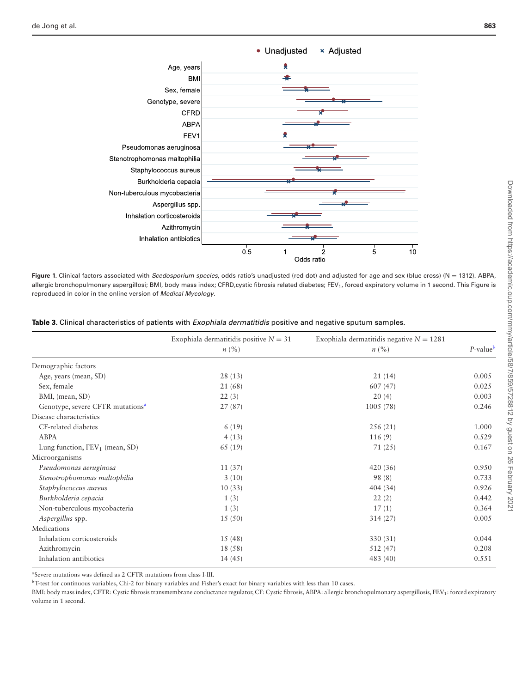<span id="page-4-0"></span>

Figure 1. Clinical factors associated with *Scedosporium species*, odds ratio's unadjusted (red dot) and adjusted for age and sex (blue cross) (N = 1312). ABPA, allergic bronchopulmonary aspergillosi; BMI, body mass index; CFRD,cystic fibrosis related diabetes; FEV<sub>1</sub>, forced expiratory volume in 1 second. This Figure is reproduced in color in the online version of *Medical Mycology*.

<span id="page-4-1"></span>

|                                              | Exophiala dermatitidis positive $N = 31$<br>$n\ (\%)$ | Exophiala dermatitidis negative $N = 1281$<br>$n\left(\frac{9}{6}\right)$ | $P-value^b$ |
|----------------------------------------------|-------------------------------------------------------|---------------------------------------------------------------------------|-------------|
|                                              |                                                       |                                                                           |             |
| Demographic factors                          |                                                       |                                                                           |             |
| Age, years (mean, SD)                        | 28(13)                                                | 21(14)                                                                    | 0.005       |
| Sex, female                                  | 21 (68)                                               | 607(47)                                                                   | 0.025       |
| BMI, (mean, SD)                              | 22(3)                                                 | 20(4)                                                                     | 0.003       |
| Genotype, severe CFTR mutations <sup>a</sup> | 27(87)                                                | 1005(78)                                                                  | 0.246       |
| Disease characteristics                      |                                                       |                                                                           |             |
| CF-related diabetes                          | 6(19)                                                 | 256(21)                                                                   | 1.000       |
| ABPA                                         | 4(13)                                                 | 116(9)                                                                    | 0.529       |
| Lung function, $FEV_1$ (mean, SD)            | 65 (19)                                               | 71(25)                                                                    | 0.167       |
| Microorganisms                               |                                                       |                                                                           |             |
| Pseudomonas aeruginosa                       | 11(37)                                                | 420(36)                                                                   | 0.950       |
| Stenotrophomonas maltophilia                 | 3(10)                                                 | 98 (8)                                                                    | 0.733       |
| Staphylococcus aureus                        | 10(33)                                                | 404 (34)                                                                  | 0.926       |
| Burkholderia cepacia                         | 1(3)                                                  | 22(2)                                                                     | 0.442       |
| Non-tuberculous mycobacteria                 | 1(3)                                                  | 17(1)                                                                     | 0.364       |
| Aspergillus spp.                             | 15(50)                                                | 314(27)                                                                   | 0.005       |
| Medications                                  |                                                       |                                                                           |             |
| Inhalation corticosteroids                   | 15(48)                                                | 330 (31)                                                                  | 0.044       |
| Azithromycin                                 | 18 (58)                                               | 512 (47)                                                                  | 0.208       |
| Inhalation antibiotics                       | 14(45)                                                | 483 (40)                                                                  | 0.551       |

<span id="page-4-3"></span>aSevere mutations was defined as 2 CFTR mutations from class I-III.

<span id="page-4-2"></span>bT-test for continuous variables, Chi-2 for binary variables and Fisher's exact for binary variables with less than 10 cases.

BMI: body mass index, CFTR: Cystic fibrosis transmembrane conductance regulator, CF: Cystic fibrosis, ABPA: allergic bronchopulmonary aspergillosis, FEV1: forced expiratory volume in 1 second.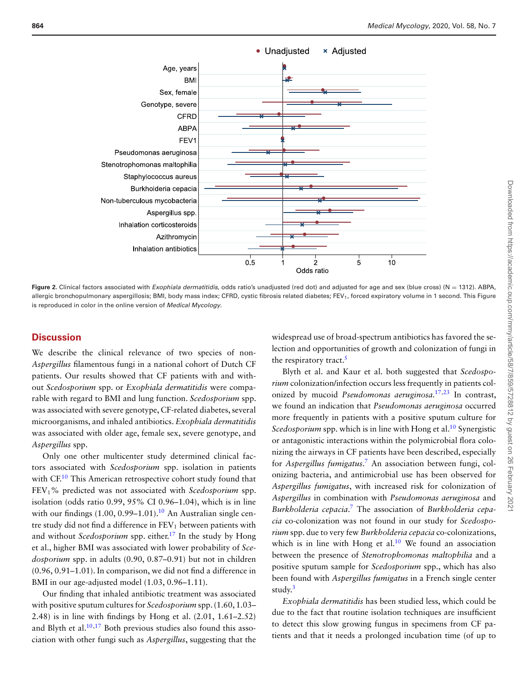<span id="page-5-0"></span>

Figure 2. Clinical factors associated with *Exophiala dermatitidis*, odds ratio's unadjusted (red dot) and adjusted for age and sex (blue cross) (N = 1312). ABPA, allergic bronchopulmonary aspergillosis; BMI, body mass index; CFRD, cystic fibrosis related diabetes; FEV<sub>1</sub>, forced expiratory volume in 1 second. This Figure is reproduced in color in the online version of *Medical Mycology*.

# **Discussion**

We describe the clinical relevance of two species of non-*Aspergillus* filamentous fungi in a national cohort of Dutch CF patients. Our results showed that CF patients with and without *Scedosporium* spp. or *Exophiala dermatitidis* were comparable with regard to BMI and lung function. *Scedosporium* spp. was associated with severe genotype, CF-related diabetes, several microorganisms, and inhaled antibiotics. *Exophiala dermatitidis* was associated with older age, female sex, severe genotype, and *Aspergillus* spp.

Only one other multicenter study determined clinical factors associated with *Scedosporium* spp. isolation in patients with CF.<sup>10</sup> This American retrospective cohort study found that FEV1% predicted was not associated with *Scedosporium* spp. isolation (odds ratio 0.99, 95% CI 0.96–1.04), which is in line with our findings  $(1.00, 0.99-1.01)$ .<sup>10</sup> An Australian single centre study did not find a difference in  $FEV<sub>1</sub>$  between patients with and without *Scedosporium* spp. either.<sup>17</sup> In the study by Hong et al., higher BMI was associated with lower probability of *Scedosporium* spp. in adults (0.90, 0.87–0.91) but not in children (0.96, 0.91–1.01). In comparison, we did not find a difference in BMI in our age-adjusted model (1.03, 0.96–1.11).

Our finding that inhaled antibiotic treatment was associated with positive sputum cultures for *Scedosporium* spp. (1.60, 1.03– 2.48) is in line with findings by Hong et al. (2.01, 1.61–2.52) and Blyth et al. $10,17$  $10,17$  Both previous studies also found this association with other fungi such as *Aspergillus*, suggesting that the

widespread use of broad-spectrum antibiotics has favored the selection and opportunities of growth and colonization of fungi in the respiratory tract.<sup>5</sup>

Blyth et al. and Kaur et al. both suggested that *Scedosporium* colonization/infection occurs less frequently in patients colonized by mucoid *Pseudomonas aeruginosa.*[17,](#page-7-13)[23](#page-7-19) In contrast, we found an indication that *Pseudomonas aeruginosa* occurred more frequently in patients with a positive sputum culture for *Scedosporium* spp. which is in line with Hong et al.<sup>10</sup> Synergistic or antagonistic interactions within the polymicrobial flora colonizing the airways in CF patients have been described, especially for *Aspergillus fumigatus*. [7](#page-7-3) An association between fungi, colonizing bacteria, and antimicrobial use has been observed for *Aspergillus fumigatus*, with increased risk for colonization of *Aspergillus* in combination with *Pseudomonas aeruginosa* and *Burkholderia cepacia*. [7](#page-7-3) The association of *Burkholderia cepacia* co-colonization was not found in our study for *Scedosporium* spp. due to very few *Burkholderia cepacia* co-colonizations, which is in line with Hong et al. $10$  We found an association between the presence of *Stenotrophomonas maltophilia* and a positive sputum sample for *Scedosporium* spp., which has also been found with *Aspergillus fumigatus* in a French single center study.<sup>3</sup>

*Exophiala dermatitidis* has been studied less, which could be due to the fact that routine isolation techniques are insufficient to detect this slow growing fungus in specimens from CF patients and that it needs a prolonged incubation time (of up to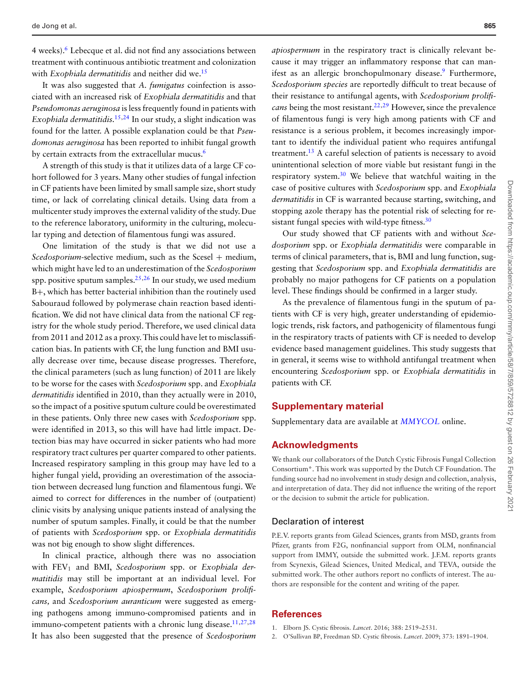4 weeks)[.6](#page-7-10) Lebecque et al. did not find any associations between treatment with continuous antibiotic treatment and colonization with *Exophiala dermatitidis* and neither did we.<sup>15</sup>

It was also suggested that *A. fumigatus* coinfection is associated with an increased risk of *Exophiala dermatitidis* and that *Pseudomonas aeruginosa* is less frequently found in patients with *Exophiala dermatitidis.*[15,](#page-7-11)[24](#page-7-20) In our study, a slight indication was found for the latter. A possible explanation could be that *Pseudomonas aeruginosa* has been reported to inhibit fungal growth by certain extracts from the extracellular mucus.<sup>6</sup>

A strength of this study is that it utilizes data of a large CF cohort followed for 3 years. Many other studies of fungal infection in CF patients have been limited by small sample size, short study time, or lack of correlating clinical details. Using data from a multicenter study improves the external validity of the study. Due to the reference laboratory, uniformity in the culturing, molecular typing and detection of filamentous fungi was assured.

One limitation of the study is that we did not use a *Scedosporium*-selective medium, such as the Scesel + medium, which might have led to an underestimation of the *Scedosporium* spp. positive sputum samples.<sup>25,[26](#page-7-22)</sup> In our study, we used medium B+, which has better bacterial inhibition than the routinely used Sabouraud followed by polymerase chain reaction based identification. We did not have clinical data from the national CF registry for the whole study period. Therefore, we used clinical data from 2011 and 2012 as a proxy. This could have let to misclassification bias. In patients with CF, the lung function and BMI usually decrease over time, because disease progresses. Therefore, the clinical parameters (such as lung function) of 2011 are likely to be worse for the cases with *Scedosporium* spp. and *Exophiala dermatitidis* identified in 2010, than they actually were in 2010, so the impact of a positive sputum culture could be overestimated in these patients. Only three new cases with *Scedosporium* spp. were identified in 2013, so this will have had little impact. Detection bias may have occurred in sicker patients who had more respiratory tract cultures per quarter compared to other patients. Increased respiratory sampling in this group may have led to a higher fungal yield, providing an overestimation of the association between decreased lung function and filamentous fungi. We aimed to correct for differences in the number of (outpatient) clinic visits by analysing unique patients instead of analysing the number of sputum samples. Finally, it could be that the number of patients with *Scedosporium* spp. or *Exophiala dermatitidis* was not big enough to show slight differences.

In clinical practice, although there was no association with FEV<sub>1</sub> and BMI, *Scedosporium* spp. or *Exophiala dermatitidis* may still be important at an individual level. For example, *Scedosporium apiospermum*, *Scedosporium prolificans,* and *Scedosporium auranticum* were suggested as emerging pathogens among immuno-compromised patients and in immuno-competent patients with a chronic lung disease.<sup>11[,27,](#page-7-23)[28](#page-7-24)</sup> It has also been suggested that the presence of *Scedosporium*

*apiospermum* in the respiratory tract is clinically relevant because it may trigger an inflammatory response that can manifest as an allergic bronchopulmonary disease.<sup>9</sup> Furthermore, *Scedosporium species* are reportedly difficult to treat because of their resistance to antifungal agents, with *Scedosporium prolificans* being the most resistant.<sup>22,[29](#page-7-25)</sup> However, since the prevalence of filamentous fungi is very high among patients with CF and resistance is a serious problem, it becomes increasingly important to identify the individual patient who requires antifungal treatment.<sup>13</sup> A careful selection of patients is necessary to avoid unintentional selection of more viable but resistant fungi in the respiratory system. $30$  We believe that watchful waiting in the case of positive cultures with *Scedosporium* spp. and *Exophiala dermatitidis* in CF is warranted because starting, switching, and stopping azole therapy has the potential risk of selecting for resistant fungal species with wild-type fitness.<sup>30</sup>

Our study showed that CF patients with and without *Scedosporium* spp. or *Exophiala dermatitidis* were comparable in terms of clinical parameters, that is, BMI and lung function, suggesting that *Scedosporium* spp. and *Exophiala dermatitidis* are probably no major pathogens for CF patients on a population level. These findings should be confirmed in a larger study.

As the prevalence of filamentous fungi in the sputum of patients with CF is very high, greater understanding of epidemiologic trends, risk factors, and pathogenicity of filamentous fungi in the respiratory tracts of patients with CF is needed to develop evidence based management guidelines. This study suggests that in general, it seems wise to withhold antifungal treatment when encountering *Scedosporium* spp. or *Exophiala dermatitidis* in patients with CF.

## **Supplementary material**

Supplementary data are available at *[MMYCOL](https://academic.oup.com/mmy/article-lookup/doi/10.1093/mmy/myaa003#supplementary-data)* online.

# **Acknowledgments**

We thank our collaborators of the Dutch Cystic Fibrosis Fungal Collection Consortium\*. This work was supported by the Dutch CF Foundation. The funding source had no involvement in study design and collection, analysis, and interpretation of data. They did not influence the writing of the report or the decision to submit the article for publication.

## Declaration of interest

P.E.V. reports grants from Gilead Sciences, grants from MSD, grants from Pfizer, grants from F2G, nonfinancial support from OLM, nonfinancial support from IMMY, outside the submitted work. J.F.M. reports grants from Scynexis, Gilead Sciences, United Medical, and TEVA, outside the submitted work. The other authors report no conflicts of interest. The authors are responsible for the content and writing of the paper.

# **References**

- <span id="page-6-0"></span>1. Elborn JS. Cystic fibrosis. *Lancet*. 2016; 388: 2519–2531.
- <span id="page-6-1"></span>2. O'Sullivan BP, Freedman SD. Cystic fibrosis. *Lancet*. 2009; 373: 1891–1904.